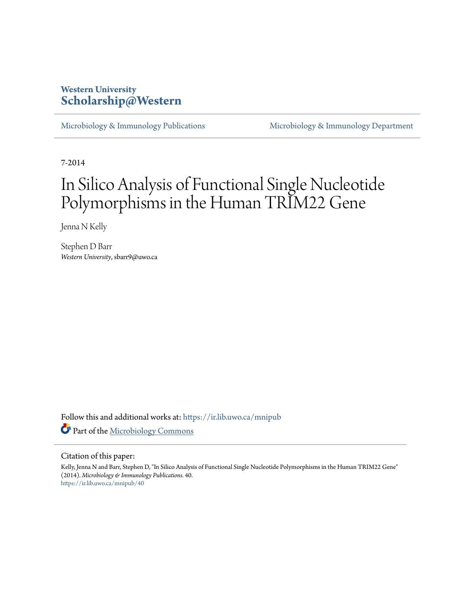## **Western University [Scholarship@Western](https://ir.lib.uwo.ca?utm_source=ir.lib.uwo.ca%2Fmnipub%2F40&utm_medium=PDF&utm_campaign=PDFCoverPages)**

[Microbiology & Immunology Publications](https://ir.lib.uwo.ca/mnipub?utm_source=ir.lib.uwo.ca%2Fmnipub%2F40&utm_medium=PDF&utm_campaign=PDFCoverPages) [Microbiology & Immunology Department](https://ir.lib.uwo.ca/mni?utm_source=ir.lib.uwo.ca%2Fmnipub%2F40&utm_medium=PDF&utm_campaign=PDFCoverPages)

7-2014

# In Silico Analysis of Functional Single Nucleotide Polymorphisms in the Human TRIM22 Gene

Jenna N Kelly

Stephen D Barr *Western University*, sbarr9@uwo.ca

Follow this and additional works at: [https://ir.lib.uwo.ca/mnipub](https://ir.lib.uwo.ca/mnipub?utm_source=ir.lib.uwo.ca%2Fmnipub%2F40&utm_medium=PDF&utm_campaign=PDFCoverPages) Part of the [Microbiology Commons](http://network.bepress.com/hgg/discipline/48?utm_source=ir.lib.uwo.ca%2Fmnipub%2F40&utm_medium=PDF&utm_campaign=PDFCoverPages)

## Citation of this paper:

Kelly, Jenna N and Barr, Stephen D, "In Silico Analysis of Functional Single Nucleotide Polymorphisms in the Human TRIM22 Gene" (2014). *Microbiology & Immunology Publications*. 40. [https://ir.lib.uwo.ca/mnipub/40](https://ir.lib.uwo.ca/mnipub/40?utm_source=ir.lib.uwo.ca%2Fmnipub%2F40&utm_medium=PDF&utm_campaign=PDFCoverPages)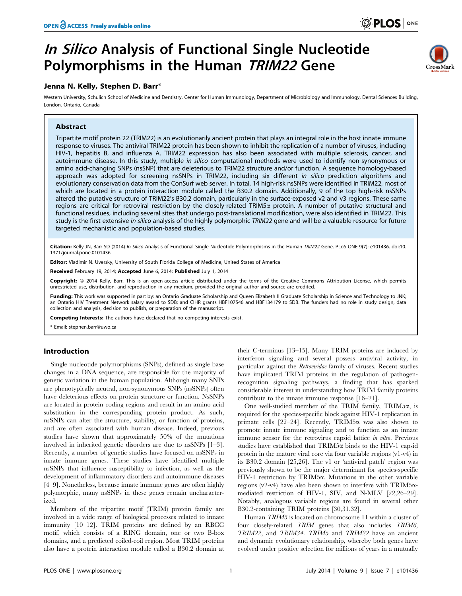## In Silico Analysis of Functional Single Nucleotide Polymorphisms in the Human TRIM22 Gene

## Jenna N. Kelly, Stephen D. Barr\*

Western University, Schulich School of Medicine and Dentistry, Center for Human Immunology, Department of Microbiology and Immunology, Dental Sciences Building, London, Ontario, Canada

## Abstract

Tripartite motif protein 22 (TRIM22) is an evolutionarily ancient protein that plays an integral role in the host innate immune response to viruses. The antiviral TRIM22 protein has been shown to inhibit the replication of a number of viruses, including HIV-1, hepatitis B, and influenza A. TRIM22 expression has also been associated with multiple sclerosis, cancer, and autoimmune disease. In this study, multiple in silico computational methods were used to identify non-synonymous or amino acid-changing SNPs (nsSNP) that are deleterious to TRIM22 structure and/or function. A sequence homology-based approach was adopted for screening nsSNPs in TRIM22, including six different in silico prediction algorithms and evolutionary conservation data from the ConSurf web server. In total, 14 high-risk nsSNPs were identified in TRIM22, most of which are located in a protein interaction module called the B30.2 domain. Additionally, 9 of the top high-risk nsSNPs altered the putative structure of TRIM22's B30.2 domain, particularly in the surface-exposed v2 and v3 regions. These same regions are critical for retroviral restriction by the closely-related TRIM5a protein. A number of putative structural and functional residues, including several sites that undergo post-translational modification, were also identified in TRIM22. This study is the first extensive in silico analysis of the highly polymorphic TRIM22 gene and will be a valuable resource for future targeted mechanistic and population-based studies.

Citation: Kelly JN, Barr SD (2014) In Silico Analysis of Functional Single Nucleotide Polymorphisms in the Human TRIM22 Gene. PLoS ONE 9(7): e101436. doi:10. 1371/journal.pone.0101436

Editor: Vladimir N. Uversky, University of South Florida College of Medicine, United States of America

Received February 19, 2014; Accepted June 6, 2014; Published July 1, 2014

Copyright: © 2014 Kelly, Barr. This is an open-access article distributed under the terms of the [Creative Commons Attribution License,](http://creativecommons.org/licenses/by/4.0/) which permits unrestricted use, distribution, and reproduction in any medium, provided the original author and source are credited.

Funding: This work was supported in part by: an Ontario Graduate Scholarship and Queen Elizabeth II Graduate Scholarship in Science and Technology to JNK; an Ontario HIV Treatment Network salary award to SDB; and CIHR grants HBF107546 and HBF134179 to SDB. The funders had no role in study design, data collection and analysis, decision to publish, or preparation of the manuscript.

Competing Interests: The authors have declared that no competing interests exist.

\* Email: stephen.barr@uwo.ca

#### Introduction

Single nucleotide polymorphisms (SNPs), defined as single base changes in a DNA sequence, are responsible for the majority of genetic variation in the human population. Although many SNPs are phenotypically neutral, non-synonymous SNPs (nsSNPs) often have deleterious effects on protein structure or function. NsSNPs are located in protein coding regions and result in an amino acid substitution in the corresponding protein product. As such, nsSNPs can alter the structure, stability, or function of proteins, and are often associated with human disease. Indeed, previous studies have shown that approximately 50% of the mutations involved in inherited genetic disorders are due to nsSNPs [1–3]. Recently, a number of genetic studies have focused on nsSNPs in innate immune genes. These studies have identified multiple nsSNPs that influence susceptibility to infection, as well as the development of inflammatory disorders and autoimmune diseases [4–9]. Nonetheless, because innate immune genes are often highly polymorphic, many nsSNPs in these genes remain uncharacterized.

Members of the tripartite motif (TRIM) protein family are involved in a wide range of biological processes related to innate immunity [10–12]. TRIM proteins are defined by an RBCC motif, which consists of a RING domain, one or two B-box domains, and a predicted coiled-coil region. Most TRIM proteins also have a protein interaction module called a B30.2 domain at their C-terminus [13–15]. Many TRIM proteins are induced by interferon signaling and several possess antiviral activity, in particular against the Retroviridae family of viruses. Recent studies have implicated TRIM proteins in the regulation of pathogenrecognition signaling pathways, a finding that has sparked considerable interest in understanding how TRIM family proteins contribute to the innate immune response [16–21].

One well-studied member of the TRIM family, TRIM5 $\alpha$ , is required for the species-specific block against HIV-1 replication in primate cells [22–24]. Recently, TRIM5 $\alpha$  was also shown to promote innate immune signaling and to function as an innate immune sensor for the retrovirus capsid lattice in vitro. Previous studies have established that  $TRIM5\alpha$  binds to the HIV-1 capsid protein in the mature viral core via four variable regions (v1-v4) in its B30.2 domain [25,26]. The v1 or 'antiviral patch' region was previously shown to be the major determinant for species-specific HIV-1 restriction by TRIM5a. Mutations in the other variable regions (v2-v4) have also been shown to interfere with  $TRIM5\alpha$ mediated restriction of HIV-1, SIV, and N-MLV [22,26–29]. Notably, analogous variable regions are found in several other B30.2-containing TRIM proteins [30,31,32].

Human TRIM5 is located on chromosome 11 within a cluster of four closely-related TRIM genes that also includes TRIM6, TRIM22, and TRIM34. TRIM5 and TRIM22 have an ancient and dynamic evolutionary relationship, whereby both genes have evolved under positive selection for millions of years in a mutually

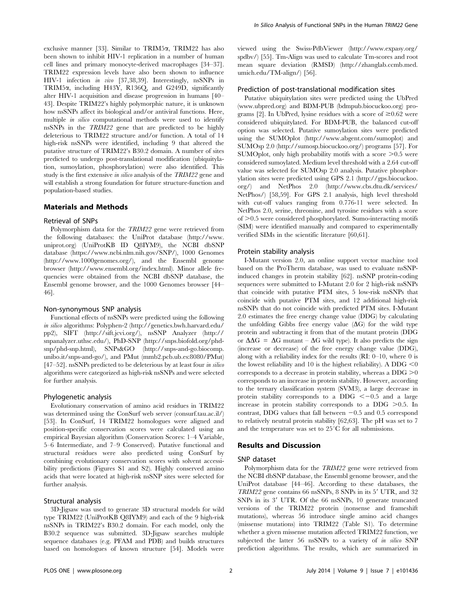exclusive manner [33]. Similar to TRIM5 $\alpha$ , TRIM22 has also been shown to inhibit HIV-1 replication in a number of human cell lines and primary monocyte-derived macrophages [34–37]. TRIM22 expression levels have also been shown to influence HIV-1 infection in vivo [37,38,39]. Interestingly, nsSNPs in TRIM5a, including H43Y, R136Q, and G249D, significantly alter HIV-1 acquisition and disease progression in humans [40– 43]. Despite TRIM22's highly polymorphic nature, it is unknown how nsSNPs affect its biological and/or antiviral functions. Here, multiple in silico computational methods were used to identify nsSNPs in the TRIM22 gene that are predicted to be highly deleterious to TRIM22 structure and/or function. A total of 14 high-risk nsSNPs were identified, including 9 that altered the putative structure of TRIM22's B30.2 domain. A number of sites predicted to undergo post-translational modification (ubiquitylation, sumoylation, phosphorylation) were also identified. This study is the first extensive in silico analysis of the TRIM22 gene and will establish a strong foundation for future structure-function and population-based studies.

#### Materials and Methods

#### Retrieval of SNPs

Polymorphism data for the TRIM22 gene were retrieved from the following databases: the UniProt database [\(http://www.](http://www.uniprot.org) [uniprot.org\)](http://www.uniprot.org) (UniProtKB ID Q8IYM9), the NCBI dbSNP database (<https://www.ncbi.nlm.nih.gov/SNP/>), 1000 Genomes [\(http://www.1000genomes.org/](http://www.1000genomes.org/)), and the Ensembl genome browser ([http://www.ensembl.org/index.html\)](http://www.ensembl.org/index.html). Minor allele frequencies were obtained from the NCBI dbSNP database, the Ensembl genome browser, and the 1000 Genomes browser [44– 46].

#### Non-synonymous SNP analysis

Functional effects of nsSNPs were predicted using the following in silico algorithms: Polyphen-2 ([http://genetics.bwh.harvard.edu/](http://genetics.bwh.harvard.edu/pp2) [pp2\)](http://genetics.bwh.harvard.edu/pp2), SIFT ([http://sift.jcvi.org/\)](http://sift.jcvi.org/), nsSNP Analyzer ([http://](http://snpanalyzer.uthsc.edu/) [snpanalyzer.uthsc.edu/](http://snpanalyzer.uthsc.edu/)), PhD-SNP [\(http://snps.biofold.org/phd](http://snps.biofold.org/phd-snp/phd-snp.html)[snp/phd-snp.html](http://snps.biofold.org/phd-snp/phd-snp.html)), SNPs&GO ([http://snps-and-go.biocomp.](http://snps-and-go.biocomp.unibo.it/snps-and-go/) [unibo.it/snps-and-go/\)](http://snps-and-go.biocomp.unibo.it/snps-and-go/), and PMut (mmb2.pcb.ub.es:8080/PMut) [47–52]. nsSNPs predicted to be deleterious by at least four *in silico* algorithms were categorized as high-risk nsSNPs and were selected for further analysis.

#### Phylogenetic analysis

Evolutionary conservation of amino acid residues in TRIM22 was determined using the ConSurf web server (consurf.tau.ac.il/) [53]. In ConSurf, 14 TRIM22 homologues were aligned and position-specific conservation scores were calculated using an empirical Bayesian algorithm (Conservation Scores: 1–4 Variable, 5–6 Intermediate, and 7–9 Conserved). Putative functional and structural residues were also predicted using ConSurf by combining evolutionary conservation scores with solvent accessibility predictions (Figures S1 and S2). Highly conserved amino acids that were located at high-risk nsSNP sites were selected for further analysis.

### Structural analysis

3D-Jigsaw was used to generate 3D structural models for wild type TRIM22 (UniProtKB Q8IYM9) and each of the 9 high-risk nsSNPs in TRIM22's B30.2 domain. For each model, only the B30.2 sequence was submitted. 3D-Jigsaw searches multiple sequence databases (e.g. PFAM and PDB) and builds structures based on homologues of known structure [54]. Models were viewed using the Swiss-PdbViewer [\(http://www.expasy.org/](http://www.expasy.org/spdbv/) [spdbv/\)](http://www.expasy.org/spdbv/) [55]. Tm-Align was used to calculate Tm-scores and root mean square deviation (RMSD) [\(http://zhanglab.ccmb.med.](http://zhanglab.ccmb.med.umich.edu/TM-align/) [umich.edu/TM-align/\)](http://zhanglab.ccmb.med.umich.edu/TM-align/) [56].

#### Prediction of post-translational modification sites

Putative ubiquitylation sites were predicted using the UbPred [\(www.ubpred.org\)](www.ubpred.org) and BDM-PUB (bdmpub.biocuckoo.org) programs [2]. In UbPred, lysine residues with a score of  $\geq 0.62$  were considered ubiquitylated. For BDM-PUB, the balanced cut-off option was selected. Putative sumoylation sites were predicted using the SUMOplot ([http://www.abgent.com/sumoplot\)](http://www.abgent.com/sumoplot) and SUMOsp 2.0 ([http://sumosp.biocuckoo.org/\)](http://sumosp.biocuckoo.org/) programs [57]. For SUMOplot, only high probability motifs with a score  $\geq 0.5$  were considered sumoylated. Medium level threshold with a 2.64 cut-off value was selected for SUMOsp 2.0 analysis. Putative phosphorylation sites were predicted using GPS 2.1 ([http://gps.biocuckoo.](http://gps.biocuckoo.org/) [org/\)](http://gps.biocuckoo.org/) and NetPhos 2.0 [\(http://www.cbs.dtu.dk/services/](http://www.cbs.dtu.dk/services/NetPhos/) [NetPhos/](http://www.cbs.dtu.dk/services/NetPhos/)) [58,59]. For GPS 2.1 analysis, high level threshold with cut-off values ranging from 0.776-11 were selected. In NetPhos 2.0, serine, threonine, and tyrosine residues with a score of  $>0.5$  were considered phosphorylated. Sumo-interacting motifs (SIM) were identified manually and compared to experimentally verified SIMs in the scientific literature [60,61].

#### Protein stability analysis

I-Mutant version 2.0, an online support vector machine tool based on the ProTherm database, was used to evaluate nsSNPinduced changes in protein stability [62]. nsSNP protein-coding sequences were submitted to I-Mutant 2.0 for 2 high-risk nsSNPs that coincide with putative PTM sites, 5 low-risk nsSNPs that coincide with putative PTM sites, and 12 additional high-risk nsSNPs that do not coincide with predicted PTM sites. I-Mutant 2.0 estimates the free energy change value (DDG) by calculating the unfolding Gibbs free energy value  $(\Delta G)$  for the wild type protein and subtracting it from that of the mutant protein (DDG or  $\Delta\Delta G = \Delta G$  mutant –  $\Delta G$  wild type). It also predicts the sign (increase or decrease) of the free energy change value (DDG), along with a reliability index for the results (RI: 0–10, where 0 is the lowest reliability and 10 is the highest reliability). A DDG  $<$  0 corresponds to a decrease in protein stability, whereas a  $DDG \geq 0$ corresponds to an increase in protein stability. However, according to the ternary classification system (SVM3), a large decrease in protein stability corresponds to a DDG  $<-0.5$  and a large increase in protein stability corresponds to a DDG  $>0.5$ . In contrast, DDG values that fall between  $-0.5$  and 0.5 correspond to relatively neutral protein stability [62,63]. The pH was set to 7 and the temperature was set to  $25^{\circ}$ C for all submissions.

## Results and Discussion

#### SNP dataset

Polymorphism data for the TRIM22 gene were retrieved from the NCBI dbSNP database, the Ensembl genome browser, and the UniProt database [44–46]. According to these databases, the  $TRIM22$  gene contains 66 nsSNPs, 8 SNPs in its 5' UTR, and 32 SNPs in its 3' UTR. Of the 66 nsSNPs, 10 generate truncated versions of the TRIM22 protein (nonsense and frameshift mutations), whereas 56 introduce single amino acid changes (missense mutations) into TRIM22 (Table S1). To determine whether a given missense mutation affected TRIM22 function, we subjected the latter 56 nsSNPs to a variety of *in silico* SNP prediction algorithms. The results, which are summarized in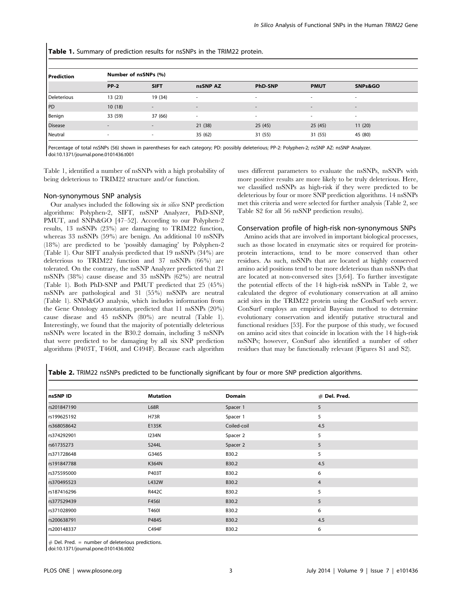Table 1. Summary of prediction results for nsSNPs in the TRIM22 protein.

| l Prediction   | Number of nsSNPs (%) |                          |          |                          |             |                          |  |
|----------------|----------------------|--------------------------|----------|--------------------------|-------------|--------------------------|--|
|                | $PP-2$               | <b>SIFT</b>              | nsSNP AZ | <b>PhD-SNP</b>           | <b>PMUT</b> | SNPs&GO                  |  |
| Deleterious    | 13(23)               | 19 (34)                  |          | $\overline{\phantom{a}}$ |             | $\overline{\phantom{a}}$ |  |
| PD             | 10(18)               | $\sim$                   | $\sim$   | $\sim$                   | $\sim$      | $\overline{a}$           |  |
| Benign         | 33 (59)              | 37 (66)                  | ۰        | $\sim$                   | ۰           | $\overline{\phantom{a}}$ |  |
| <b>Disease</b> | ٠                    | $\overline{\phantom{a}}$ | 21(38)   | 25(45)                   | 25(45)      | 11(20)                   |  |
| Neutral        | ٠                    | $\sim$                   | 35(62)   | 31 (55)                  | 31(55)      | 45 (80)                  |  |

Percentage of total nsSNPs (56) shown in parentheses for each category; PD: possibly deleterious; PP-2: Polyphen-2; nsSNP AZ: nsSNP Analyzer. doi:10.1371/journal.pone.0101436.t001

Table 1, identified a number of nsSNPs with a high probability of being deleterious to TRIM22 structure and/or function.

#### Non-synonymous SNP analysis

Our analyses included the following six in silico SNP prediction algorithms: Polyphen-2, SIFT, nsSNP Analyzer, PhD-SNP, PMUT, and SNPs&GO [47–52]. According to our Polyphen-2 results, 13 nsSNPs (23%) are damaging to TRIM22 function, whereas 33 nsSNPs (59%) are benign. An additional 10 nsSNPs (18%) are predicted to be 'possibly damaging' by Polyphen-2 (Table 1). Our SIFT analysis predicted that 19 nsSNPs (34%) are deleterious to TRIM22 function and 37 nsSNPs (66%) are tolerated. On the contrary, the nsSNP Analyzer predicted that 21 nsSNPs (38%) cause disease and 35 nsSNPs (62%) are neutral (Table 1). Both PhD-SNP and PMUT predicted that 25 (45%) nsSNPs are pathological and 31 (55%) nsSNPs are neutral (Table 1). SNPs&GO analysis, which includes information from the Gene Ontology annotation, predicted that 11 nsSNPs (20%) cause disease and 45 nsSNPs (80%) are neutral (Table 1). Interestingly, we found that the majority of potentially deleterious nsSNPs were located in the B30.2 domain, including 3 nsSNPs that were predicted to be damaging by all six SNP prediction algorithms (P403T, T460I, and C494F). Because each algorithm

uses different parameters to evaluate the nsSNPs, nsSNPs with more positive results are more likely to be truly deleterious. Here, we classified nsSNPs as high-risk if they were predicted to be deleterious by four or more SNP prediction algorithms. 14 nsSNPs met this criteria and were selected for further analysis (Table 2, see Table S2 for all 56 nsSNP prediction results).

#### Conservation profile of high-risk non-synonymous SNPs

Amino acids that are involved in important biological processes, such as those located in enzymatic sites or required for proteinprotein interactions, tend to be more conserved than other residues. As such, nsSNPs that are located at highly conserved amino acid positions tend to be more deleterious than nsSNPs that are located at non-conversed sites [3,64]. To further investigate the potential effects of the 14 high-risk nsSNPs in Table 2, we calculated the degree of evolutionary conservation at all amino acid sites in the TRIM22 protein using the ConSurf web server. ConSurf employs an empirical Bayesian method to determine evolutionary conservation and identify putative structural and functional residues [53]. For the purpose of this study, we focused on amino acid sites that coincide in location with the 14 high-risk nsSNPs; however, ConSurf also identified a number of other residues that may be functionally relevant (Figures S1 and S2).

Table 2. TRIM22 nsSNPs predicted to be functionally significant by four or more SNP prediction algorithms.

| nsSNP ID    | <b>Mutation</b> | Domain      | $#$ Del. Pred. |
|-------------|-----------------|-------------|----------------|
| rs201847190 | <b>L68R</b>     | Spacer 1    | 5              |
| rs199625192 | <b>H73R</b>     | Spacer 1    | 5              |
| rs368058642 | E135K           | Coiled-coil | 4.5            |
| rs374292901 | <b>I234N</b>    | Spacer 2    | 5              |
| rs61735273  | S244L           | Spacer 2    | 5              |
| rs371728648 | G346S           | B30.2       | 5              |
| rs191847788 | K364N           | B30.2       | 4.5            |
| rs375595000 | P403T           | B30.2       | 6              |
| rs370495523 | L432W           | B30.2       | 4              |
| rs187416296 | R442C           | B30.2       | 5              |
| rs377529439 | F456I           | B30.2       | 5              |
| rs371028900 | T460I           | B30.2       | 6              |
| rs200638791 | P484S           | B30.2       | 4.5            |
| rs200148337 | C494F           | B30.2       | 6              |

 $#$  Del. Pred. = number of deleterious predictions.

doi:10.1371/journal.pone.0101436.t002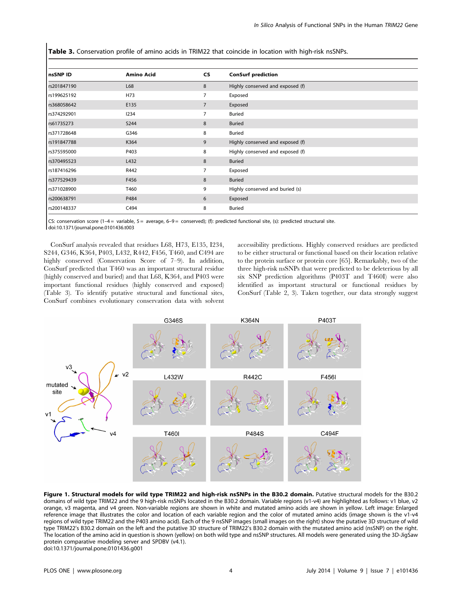Table 3. Conservation profile of amino acids in TRIM22 that coincide in location with high-risk nsSNPs.

| <b>Amino Acid</b> | CS             | <b>ConSurf prediction</b>        |
|-------------------|----------------|----------------------------------|
| L68               | 8              | Highly conserved and exposed (f) |
| H73               | 7              | Exposed                          |
| E135              | $\overline{7}$ | Exposed                          |
| 1234              | 7              | <b>Buried</b>                    |
| <b>S244</b>       | 8              | <b>Buried</b>                    |
| G346              | 8              | <b>Buried</b>                    |
| K364              | 9              | Highly conserved and exposed (f) |
| P403              | 8              | Highly conserved and exposed (f) |
| L432              | 8              | <b>Buried</b>                    |
| R442              |                | Exposed                          |
| F456              | 8              | <b>Buried</b>                    |
| T460              | 9              | Highly conserved and buried (s)  |
| P484              | 6              | Exposed                          |
| C494              | 8              | <b>Buried</b>                    |
|                   |                |                                  |

CS: conservation score (1-4 = variable,  $5 =$  average, 6-9 = conserved); (f): predicted functional site, (s): predicted structural site.

doi:10.1371/journal.pone.0101436.t003

ConSurf analysis revealed that residues L68, H73, E135, I234, S244, G346, K364, P403, L432, R442, F456, T460, and C494 are highly conserved (Conservation Score of 7–9). In addition, ConSurf predicted that T460 was an important structural residue (highly conserved and buried) and that L68, K364, and P403 were important functional residues (highly conserved and exposed) (Table 3). To identify putative structural and functional sites, ConSurf combines evolutionary conservation data with solvent accessibility predictions. Highly conserved residues are predicted to be either structural or functional based on their location relative to the protein surface or protein core [65]. Remarkably, two of the three high-risk nsSNPs that were predicted to be deleterious by all six SNP prediction algorithms (P403T and T460I) were also identified as important structural or functional residues by ConSurf (Table 2, 3). Taken together, our data strongly suggest



Figure 1. Structural models for wild type TRIM22 and high-risk nsSNPs in the B30.2 domain. Putative structural models for the B30.2 domains of wild type TRIM22 and the 9 high-risk nsSNPs located in the B30.2 domain. Variable regions (v1-v4) are highlighted as follows: v1 blue, v2 orange, v3 magenta, and v4 green. Non-variable regions are shown in white and mutated amino acids are shown in yellow. Left image: Enlarged reference image that illustrates the color and location of each variable region and the color of mutated amino acids (image shown is the v1-v4 regions of wild type TRIM22 and the P403 amino acid). Each of the 9 nsSNP images (small images on the right) show the putative 3D structure of wild type TRIM22's B30.2 domain on the left and the putative 3D structure of TRIM22's B30.2 domain with the mutated amino acid (nsSNP) on the right. The location of the amino acid in question is shown (yellow) on both wild type and nsSNP structures. All models were generated using the 3D-JigSaw protein comparative modeling server and SPDBV (v4.1). doi:10.1371/journal.pone.0101436.g001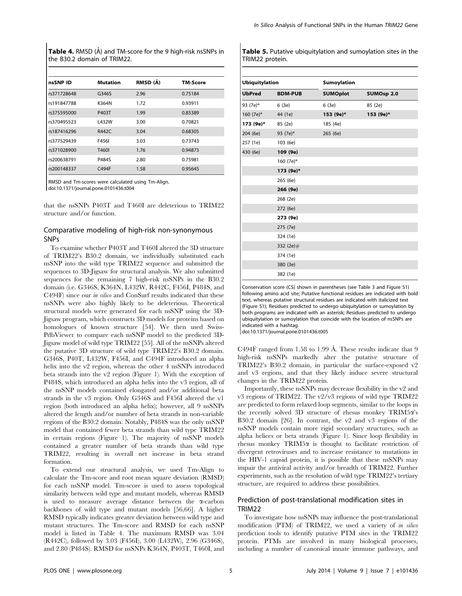Table 4. RMSD (Å) and TM-score for the 9 high-risk nsSNPs in the B30.2 domain of TRIM22.

| nsSNP ID    | <b>Mutation</b> | RMSD (A) | TM-Score |
|-------------|-----------------|----------|----------|
| rs371728648 | G346S           | 2.96     | 0.75184  |
| rs191847788 | K364N           | 1.72     | 0.93911  |
| rs375595000 | P403T           | 1.99     | 0.85389  |
| rs370495523 | L432W           | 3.00     | 0.70821  |
| rs187416296 | R442C           | 3.04     | 0.68305  |
| rs377529439 | F456I           | 3.03     | 0.73743  |
| rs371028900 | T460I           | 1.76     | 0.94873  |
| rs200638791 | P484S           | 2.80     | 0.75981  |
| rs200148337 | C494F           | 1.58     | 0.95645  |

RMSD and Tm-scores were calculated using Tm-Align.

doi:10.1371/journal.pone.0101436.t004

that the nsSNPs P403T and T460I are deleterious to TRIM22 structure and/or function.

## Comparative modeling of high-risk non-synonymous SNPs

To examine whether P403T and T460I altered the 3D structure of TRIM22's B30.2 domain, we individually substituted each nsSNP into the wild type TRIM22 sequence and submitted the sequences to 3D-Jigsaw for structural analysis. We also submitted sequences for the remaining 7 high-risk nsSNPs in the B30.2 domain (i.e. G346S, K364N, L432W, R442C, F456I, P484S, and C494F) since our in silico and ConSurf results indicated that these nsSNPs were also highly likely to be deleterious. Theoretical structural models were generated for each nsSNP using the 3D-Jigsaw program, which constructs 3D models for proteins based on homologues of known structure [54]. We then used Swiss-PdbViewer to compare each nsSNP model to the predicted 3D-Jigsaw model of wild type TRIM22 [55]. All of the nsSNPs altered the putative 3D structure of wild type TRIM22's B30.2 domain. G346S, P40T, L432W, F456I, and C494F introduced an alpha helix into the v2 region, whereas the other 4 nsSNPs introduced beta strands into the v2 region (Figure 1). With the exception of P484S, which introduced an alpha helix into the v3 region, all of the nsSNP models contained elongated and/or additional beta strands in the v3 region. Only G346S and F456I altered the v1 region (both introduced an alpha helix); however, all 9 nsSNPs altered the length and/or number of beta strands in non-variable regions of the B30.2 domain. Notably, P484S was the only nsSNP model that contained fewer beta strands than wild type TRIM22 in certain regions (Figure 1). The majority of nsSNP models contained a greater number of beta strands than wild type TRIM22, resulting in overall net increase in beta strand formation.

To extend our structural analysis, we used Tm-Align to calculate the Tm-score and root mean square deviation (RMSD) for each nsSNP model. Tm-score is used to assess topological similarity between wild type and mutant models, whereas RMSD is used to measure average distance between the  $\alpha$ -carbon backbones of wild type and mutant models [56,66]. A higher RMSD typically indicates greater deviation between wild type and mutant structures. The Tm-score and RMSD for each nsSNP model is listed in Table 4. The maximum RMSD was 3.04 (R442C), followed by 3.03 (F456I), 3.00 (L432W), 2.96 (G346S), and 2.80 (P484S). RMSD for nsSNPs K364N, P403T, T460I, and Table 5. Putative ubiquitylation and sumoylation sites in the TRIM22 protein.

| <b>Ubiquitylation</b> |                | <b>Sumoylation</b> |            |
|-----------------------|----------------|--------------------|------------|
| <b>UbPred</b>         | <b>BDM-PUB</b> | <b>SUMOplot</b>    | SUMOsp 2.0 |
| 93 (7e)*              | 6(3e)          | 6(3e)              | 85 (2e)    |
| 160 (7e)*             | 44 (1e)        | 153 (9e)*          | 153 (9e)*  |
| 173 (9e)*             | 85 (2e)        | 185 (4e)           |            |
| 204 (6e)              | 93 (7e)*       | 265 (6e)           |            |
| 257 (1e)              | 103 (6e)       |                    |            |
| 430 (6e)              | 109 (9e)       |                    |            |
|                       | 160 (7e)*      |                    |            |
|                       | 173 (9e)*      |                    |            |
|                       | 265 (6e)       |                    |            |
|                       | 266 (9e)       |                    |            |
|                       | 268 (2e)       |                    |            |
|                       | 272 (6e)       |                    |            |
|                       | 273 (9e)       |                    |            |
|                       | 275 (7e)       |                    |            |
|                       | 324 (1e)       |                    |            |
|                       | 332 (2e)#      |                    |            |
|                       | 374 (1e)       |                    |            |
|                       | 380 (3e)       |                    |            |
|                       | 382 (1e)       |                    |            |

Conservation score (CS) shown in parentheses (see Table 3 and Figure S1) following amino acid site; Putative functional residues are indicated with bold text, whereas putative structural residues are indicated with italicized text (Figure S1); Residues predicted to undergo ubiquitylation or sumoylation by both programs are indicated with an asterisk; Residues predicted to undergo ubiquitylation or sumoylation that coincide with the location of nsSNPs are indicated with a hashtag.

doi:10.1371/journal.pone.0101436.t005

C494F ranged from 1.58 to 1.99 Å. These results indicate that  $9$ high-risk nsSNPs markedly alter the putative structure of TRIM22's B30.2 domain, in particular the surface-exposed v2 and v3 regions, and that they likely induce severe structural changes in the TRIM22 protein.

Importantly, these nsSNPs may decrease flexibility in the v2 and v3 regions of TRIM22. The v2/v3 regions of wild type TRIM22 are predicted to form relaxed loop segments, similar to the loops in the recently solved 3D structure of rhesus monkey TRIM5a's B30.2 domain [26]. In contrast, the v2 and v3 regions of the nsSNP models contain more rigid secondary structures, such as alpha helices or beta strands (Figure 1). Since loop flexibility in rhesus monkey TRIM5 $\alpha$  is thought to facilitate restriction of divergent retroviruses and to increase resistance to mutations in the HIV-1 capsid protein, it is possible that these nsSNPs may impair the antiviral activity and/or breadth of TRIM22. Further experiments, such as the resolution of wild type TRIM22's tertiary structure, are required to address these possibilities.

## Prediction of post-translational modification sites in TRIM22

To investigate how nsSNPs may influence the post-translational modification (PTM) of TRIM22, we used a variety of in silico prediction tools to identify putative PTM sites in the TRIM22 protein. PTMs are involved in many biological processes, including a number of canonical innate immune pathways, and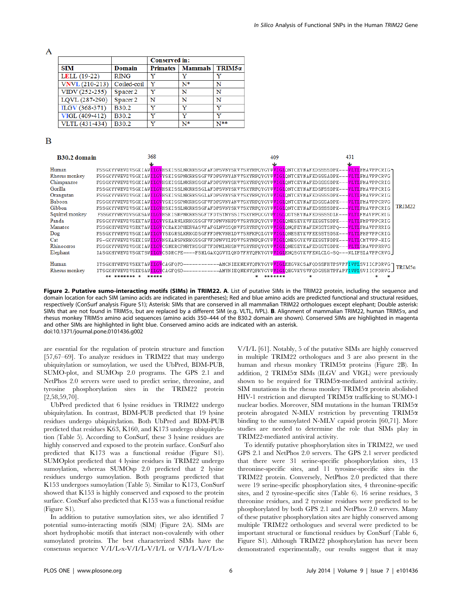$\mathbf{A}$ 

|                |                   | Conserved in:   |                |        |  |
|----------------|-------------------|-----------------|----------------|--------|--|
| <b>SIM</b>     | Domain            | <b>Primates</b> | <b>Mammals</b> | TRIM5a |  |
| LELL (19-22)   | <b>RING</b>       | v               | v              | v      |  |
| VNVL(210-213)  | Coiled-coil       | v               | N*             | N      |  |
| VIDV (252-255) | Spacer 2          | v               | N              | N      |  |
| LQVL (287-290) | Spacer 2          | N               | N              | N      |  |
| ILGV (368-371) | <b>B</b> 30.2     | v               | v              | v      |  |
| VIGL (409-412) | B30.2             | v               | v              | v      |  |
| VLTL (431-434) | B <sub>30.2</sub> | v               | N*             | $N**$  |  |

#### B

| <b>B30.2 domain</b> | 368                | 409                                                                                                                                     | 431                                                                                                                                             |               |
|---------------------|--------------------|-----------------------------------------------------------------------------------------------------------------------------------------|-------------------------------------------------------------------------------------------------------------------------------------------------|---------------|
|                     |                    |                                                                                                                                         |                                                                                                                                                 |               |
| Human               |                    |                                                                                                                                         | FSSGKYYWEVDVSGKIAW <mark>ILGV</mark> HSKISSLNKRKSSGFAFDPSVNYSKVYSRYRPQYGYWVIGLQNTCEYNAFEDSSSSDPK---VLTLFMAVPPCRIG                               |               |
| Rhesus monkey       |                    |                                                                                                                                         | FSSGKYYWEVDVSGKIAW <mark>IIGV</mark> YSKISSPNKRKSSGFVFDPSVNYANVYSKYRPQYGYWVIGIQNTCEYNAFEDSSSADPK--- <mark>VIII</mark> FMAVPPCRVG                |               |
| Chimpanzee          |                    |                                                                                                                                         | FSSGKYYWEVDVSGKIAW <mark>ILGV</mark> HSKISSLNKRKSSGFAFDPSVNYSKVYSKYRPQYGYW <mark>VIGL</mark> QNTCEYNAFEDSSSSDPK--- <mark>VLTL</mark> FMAVPPCRIG |               |
| Gorilla             |                    |                                                                                                                                         | FSSGKYYWEVDVSGKIAW <mark>ILGV</mark> HSKISSLNKRKSSGLAFDPSVNYSKVYSKYRPQYGYWVIGIQNTCEYNAFEDSFSSDPK--- <mark>VLTL</mark> FMAVPPCRIG                |               |
| Orangutan           |                    |                                                                                                                                         | FSSGKYYWEVDVSGKIAWILGVHSKISSLNKRKSSGLAFDPSVNYSKVYSKYRPOYGYWWIGIONTCEYNAFEDSSSSDPK---VLTLFMAVPPCRIG                                              |               |
| Baboon              |                    |                                                                                                                                         | FSSGKYYWEVDVSGKIAW <mark>IIGV</mark> YSKISSPNKRKSSGFVFDPSVNYANVYSKYRPQYGYWVIGIQNTCEYNAFEDSSSADPK--- <mark>VIII</mark> FMAVPPCRVG                |               |
| Gibbon              |                    |                                                                                                                                         | FSSGKYYVEVDVSGKIAWILGVHSKISSLNKRKSSGFAFDPSVNYSKVYSKYRPOYGYVWIGIONTCEYNAFEDSSSSDPK---VLTLFMAVPPCRIG                                              | <b>TRIM22</b> |
| Squirrel monkey     |                    |                                                                                                                                         | FSSGKYYWEVDVSGKSAWILGVHSKISNPNKRKSSGFTFDTSTNYSSIYSKYRPQCGYWVIGLQDTSEYNAFEDSSSSDLK---VLTLFMAVPPCRIG                                              |               |
| Panda               |                    |                                                                                                                                         | FSSGKYYWEVDVSEKTAW <mark>ILGV</mark> YSKARNLKRKGSSGFVFDPNVNHPDVYSRYKPQYGYWVIGIQNESEYKVFEESSTSDPK--- <mark>VLTL</mark> FMPVPPCRIG                |               |
| Manatee             |                    |                                                                                                                                         | FSSGKHYWEVDVSRKTAWILGVYCRAKDPHERWASVFAFGLNVSSONVFSRYRPOYGYWVIGLONOFEYNAFENSSTSNPO---VLTLFMAVPPRRIG                                              |               |
| Dog                 |                    |                                                                                                                                         | FSSGKYYVEVDVSGKIAWILGVYSKGRSLKRKGDSGFFFDPKVNHLDVYSRFKPOLGYVVIGIONESEYKVFEESSTSDSK---VLTLFMPVPPCRIG                                              |               |
| Cat                 |                    |                                                                                                                                         | FS-GKYYVEVDVSEKISW <mark>ILGV</mark> NSKARSPKRKGSSGFVFDPNVYLPDVYSRYNPOFGYVWIGIONESGYKVFEESSTFDPK--- <mark>VLTL</mark> CMTVPP-HIG                |               |
| Rhinoceros          |                    |                                                                                                                                         | FSSGKYYVEVDVSGKIAWILGVCSNKRCFNRTKSSGFTFDPNLNHSNVYSRYRPQYGYVVIGLQNESEYKAFEDSSTSDPK---VLTLSMAVPPRRVG                                              |               |
| Elephant            |                    |                                                                                                                                         | IASGKHYWEVDVSGKTSWILGVCSDRCPE----FSMLGAKQGVYLQNDYFRYQPKYGYWVIGLENQSGYKVFENLCLG-SQ---MLIFSLAVPPCRVG_                                             |               |
|                     |                    |                                                                                                                                         |                                                                                                                                                 |               |
| Human               |                    |                                                                                                                                         | ITSGKHYWEVDVSKKTAW <mark>IIGV</mark> CAGFQPD----------AMCNIEKNENYQPKYGYW <mark>VIGI</mark> EEGVKCSAFQDSSFHTPSVPF <mark>IVPI</mark> SVIICPDRVG   |               |
| Rhesus monkey       |                    | ITSGKHYWEVDVSKKSAW <mark>ILGV</mark> CAGFQSD-----------AMYNIEQNENYQPKYGYW <mark>VIGL</mark> QEGVKYSVFQDGSSHTPFAPF <mark>IVPL</mark> SVI |                                                                                                                                                 | TRIM5a        |
|                     | ******* *<br>***** | *******                                                                                                                                 |                                                                                                                                                 |               |

Figure 2. Putative sumo-interacting motifs (SIMs) in TRIM22. A. List of putative SIMs in the TRIM22 protein, including the sequence and domain location for each SIM (amino acids are indicated in parentheses); Red and blue amino acids are predicted functional and structural residues, respectively (ConSurf analysis Figure S1); Asterisk: SIMs that are conserved in all mammalian TRIM22 orthologues except elephant; Double asterisk: SIMs that are not found in TRIM5a, but are replaced by a different SIM (e.g. VLTL, IVPL). B. Alignment of mammalian TRIM22, human TRIM5a, and rhesus monkey TRIM5a amino acid sequences (amino acids 350–444 of the B30.2 domain are shown). Conserved SIMs are highlighted in magenta and other SIMs are highlighted in light blue. Conserved amino acids are indicated with an asterisk. doi:10.1371/journal.pone.0101436.g002

are essential for the regulation of protein structure and function [57,67–69]. To analyze residues in TRIM22 that may undergo ubiquitylation or sumoylation, we used the UbPred, BDM-PUB, SUMO-plot, and SUMOsp 2.0 programs. The GPS 2.1 and NetPhos 2.0 servers were used to predict serine, threonine, and tyrosine phosphorylation sites in the TRIM22 protein [2,58,59,70].

UbPred predicted that 6 lysine residues in TRIM22 undergo ubiquitylation. In contrast, BDM-PUB predicted that 19 lysine residues undergo ubiquitylation. Both UbPred and BDM-PUB predicted that residues K63, K160, and K173 undergo ubiquitylation (Table 5). According to ConSurf, these 3 lysine residues are highly conserved and exposed to the protein surface. ConSurf also predicted that K173 was a functional residue (Figure S1). SUMOplot predicted that 4 lysine residues in TRIM22 undergo sumoylation, whereas SUMOsp 2.0 predicted that 2 lysine residues undergo sumoylation. Both programs predicted that K153 undergoes sumoylation (Table 5). Similar to K173, ConSurf showed that K153 is highly conserved and exposed to the protein surface. ConSurf also predicted that K153 was a functional residue (Figure S1).

In addition to putative sumoylation sites, we also identified 7 potential sumo-interacting motifs (SIM) (Figure 2A). SIMs are short hydrophobic motifs that interact non-covalently with other sumoylated proteins. The best characterized SIMs have the consensus sequence V/I/L-x-V/I/L-V/I/L or V/I/L-V/I/L-x-

V/I/L [61]. Notably, 5 of the putative SIMs are highly conserved in multiple TRIM22 orthologues and 3 are also present in the human and rhesus monkey TRIM5 $\alpha$  proteins (Figure 2B). In addition,  $2$  TRIM5 $\alpha$  SIMs (ILGV and VIGL) were previously shown to be required for  $TRIM5\alpha$ -mediated antiviral activity. SIM mutations in the rhesus monkey  $TRIM5\alpha$  protein abolished HIV-1 restriction and disrupted TRIM5 $\alpha$  trafficking to SUMO-1 nuclear bodies. Moreover, SIM mutations in the human TRIM5a protein abrogated N-MLV restriction by preventing TRIM5a binding to the sumoylated N-MLV capsid protein [60,71]. More studies are needed to determine the role that SIMs play in TRIM22-mediated antiviral activity.

To identify putative phosphorylation sites in TRIM22, we used GPS 2.1 and NetPhos 2.0 servers. The GPS 2.1 server predicted that there were 31 serine-specific phosphorylation sites, 13 threonine-specific sites, and 11 tyrosine-specific sites in the TRIM22 protein. Conversely, NetPhos 2.0 predicted that there were 19 serine-specific phosphorylation sites, 4 threonine-specific sites, and 2 tyrosine-specific sites (Table 6). 16 serine residues, 3 threonine residues, and 2 tyrosine residues were predicted to be phosphorylated by both GPS 2.1 and NetPhos 2.0 servers. Many of these putative phosphorylation sites are highly conserved among multiple TRIM22 orthologues and several were predicted to be important structural or functional residues by ConSurf (Table 6, Figure S1). Although TRIM22 phosphorylation has never been demonstrated experimentally, our results suggest that it may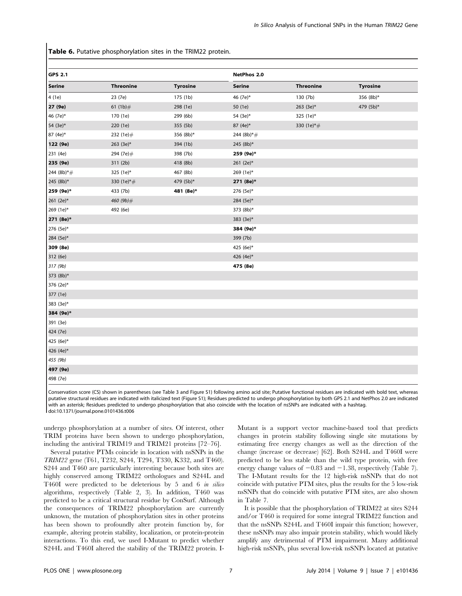Table 6. Putative phosphorylation sites in the TRIM22 protein.

| <b>GPS 2.1</b> |                  |                 | <b>NetPhos 2.0</b> |                  |                 |  |
|----------------|------------------|-----------------|--------------------|------------------|-----------------|--|
| <b>Serine</b>  | <b>Threonine</b> | <b>Tyrosine</b> | <b>Serine</b>      | <b>Threonine</b> | <b>Tyrosine</b> |  |
| 4 (1e)         | 23 (7e)          | 175 (1b)        | 46 (7e)*           | 130 (7b)         | 356 (8b)*       |  |
| 27 (9e)        | 61 $(1b)$ #      | 298 (1e)        | 50 (1e)            | $263$ (3e)*      | 479 (5b)*       |  |
| 46 (7e)*       | 170 (1e)         | 299 (6b)        | 54 (3e)*           | 325 (1e)*        |                 |  |
| 54 (3e)*       | 220 (1e)         | 355 (5b)        | 87 (4e)*           | 330 $(1e)*#$     |                 |  |
| 87 (4e)*       | 232 (1e)#        | 356 (8b)*       | 244 (8b) $*$ #     |                  |                 |  |
| 122 (9e)       | $263$ (3e)*      | 394 (1b)        | 245 (8b)*          |                  |                 |  |
| 231 (4e)       | 294 (7e)#        | 398 (7b)        | 259 (9e)*          |                  |                 |  |
| 235 (9e)       | 311 (2b)         | 418 (8b)        | 261 $(2e)$ *       |                  |                 |  |
| $244 (8b)*$ #  | 325 (1e)*        | 467 (8b)        | 269 (1e)*          |                  |                 |  |
| 245 (8b)*      | 330 (1e)*#       | 479 (5b)*       | 271 (8e)*          |                  |                 |  |
| 259 (9e)*      | 433 (7b)         | 481 (8e)*       | 276 (5e)*          |                  |                 |  |
| 261 (2e)*      | 460 (9b)#        |                 | 284 (5e)*          |                  |                 |  |
| 269 (1e)*      | 492 (6e)         |                 | 373 (8b)*          |                  |                 |  |
| 271 (8e)*      |                  |                 | 383 (3e)*          |                  |                 |  |
| 276 (5e)*      |                  |                 | 384 (9e)*          |                  |                 |  |
| 284 (5e)*      |                  |                 | 399 (7b)           |                  |                 |  |
| 309 (8e)       |                  |                 | 425 (6e)*          |                  |                 |  |
| 312 (6e)       |                  |                 | 426 (4e)*          |                  |                 |  |
| 317 (9b)       |                  |                 | 475 (8e)           |                  |                 |  |
| 373 (8b)*      |                  |                 |                    |                  |                 |  |
| 376 (2e)*      |                  |                 |                    |                  |                 |  |
| 377 (1e)       |                  |                 |                    |                  |                 |  |
| 383 (3e)*      |                  |                 |                    |                  |                 |  |
| 384 (9e)*      |                  |                 |                    |                  |                 |  |
| 391 (3e)       |                  |                 |                    |                  |                 |  |
| 424 (7e)       |                  |                 |                    |                  |                 |  |
| 425 (6e)*      |                  |                 |                    |                  |                 |  |
| 426 (4e)*      |                  |                 |                    |                  |                 |  |
| 455 (9b)       |                  |                 |                    |                  |                 |  |
| 497 (9e)       |                  |                 |                    |                  |                 |  |
| 498 (7e)       |                  |                 |                    |                  |                 |  |

Conservation score (CS) shown in parentheses (see Table 3 and Figure S1) following amino acid site; Putative functional residues are indicated with bold text, whereas putative structural residues are indicated with italicized text (Figure S1); Residues predicted to undergo phosphorylation by both GPS 2.1 and NetPhos 2.0 are indicated with an asterisk; Residues predicted to undergo phosphorylation that also coincide with the location of nsSNPs are indicated with a hashtag. doi:10.1371/journal.pone.0101436.t006

undergo phosphorylation at a number of sites. Of interest, other TRIM proteins have been shown to undergo phosphorylation, including the antiviral TRIM19 and TRIM21 proteins [72–76].

Several putative PTMs coincide in location with nsSNPs in the TRIM22 gene (T61, T232, S244, T294, T330, K332, and T460). S244 and T460 are particularly interesting because both sites are highly conserved among TRIM22 orthologues and S244L and T460I were predicted to be deleterious by 5 and 6 in silico algorithms, respectively (Table 2, 3). In addition, T460 was predicted to be a critical structural residue by ConSurf. Although the consequences of TRIM22 phosphorylation are currently unknown, the mutation of phosphorylation sites in other proteins has been shown to profoundly alter protein function by, for example, altering protein stability, localization, or protein-protein interactions. To this end, we used I-Mutant to predict whether S244L and T460I altered the stability of the TRIM22 protein. I- Mutant is a support vector machine-based tool that predicts changes in protein stability following single site mutations by estimating free energy changes as well as the direction of the change (increase or decrease) [62]. Both S244L and T460I were predicted to be less stable than the wild type protein, with free energy change values of  $-0.83$  and  $-1.38$ , respectively (Table 7). The I-Mutant results for the 12 high-risk nsSNPs that do not coincide with putative PTM sites, plus the results for the 5 low-risk nsSNPs that do coincide with putative PTM sites, are also shown in Table 7.

It is possible that the phosphorylation of TRIM22 at sites S244 and/or T460 is required for some integral TRIM22 function and that the nsSNPs S244L and T460I impair this function; however, these nsSNPs may also impair protein stability, which would likely amplify any detrimental of PTM impairment. Many additional high-risk nsSNPs, plus several low-risk nsSNPs located at putative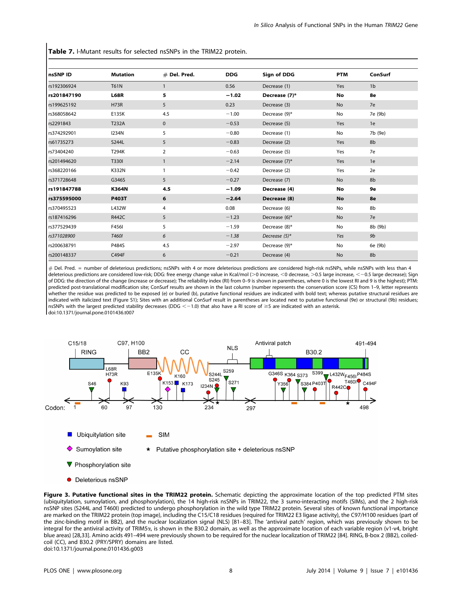Table 7. I-Mutant results for selected nsSNPs in the TRIM22 protein.

| nsSNP ID    | <b>Mutation</b> | $#$ Del. Pred. | <b>DDG</b> | <b>Sign of DDG</b> | <b>PTM</b> | ConSurf        |
|-------------|-----------------|----------------|------------|--------------------|------------|----------------|
| rs192306924 | <b>T61N</b>     | $\mathbf{1}$   | 0.56       | Decrease (1)       | Yes        | 1 <sub>b</sub> |
| rs201847190 | <b>L68R</b>     | 5              | $-1.02$    | Decrease (7)*      | No         | 8e             |
| rs199625192 | <b>H73R</b>     | 5              | 0.23       | Decrease (3)       | No         | 7e             |
| rs368058642 | E135K           | 4.5            | $-1.00$    | Decrease (9)*      | No         | 7e (9b)        |
| rs2291843   | T232A           | $\mathbf{0}$   | $-0.53$    | Decrease (5)       | Yes        | 1e             |
| rs374292901 | <b>I234N</b>    | 5              | $-0.80$    | Decrease (1)       | No         | 7b (9e)        |
| rs61735273  | S244L           | 5              | $-0.83$    | Decrease (2)       | Yes        | 8b             |
| rs73404240  | T294K           | 2              | $-0.63$    | Decrease (5)       | Yes        | 7e             |
| rs201494620 | <b>T330I</b>    | 1              | $-2.14$    | Decrease (7)*      | Yes        | 1e             |
| rs368220166 | K332N           | 1              | $-0.42$    | Decrease (2)       | Yes        | 2e             |
| rs371728648 | G346S           | 5              | $-0.27$    | Decrease (7)       | <b>No</b>  | 8b             |
| rs191847788 | <b>K364N</b>    | 4.5            | $-1.09$    | Decrease (4)       | No         | <b>9e</b>      |
| rs375595000 | <b>P403T</b>    | 6              | $-2.64$    | Decrease (8)       | <b>No</b>  | 8e             |
| rs370495523 | L432W           | 4              | 0.08       | Decrease (6)       | No         | 8b             |
| rs187416296 | R442C           | 5              | $-1.23$    | Decrease (6)*      | No         | 7e             |
| rs377529439 | F456I           | 5              | $-1.59$    | Decrease (8)*      | No         | 8b (9b)        |
| rs371028900 | <b>T460I</b>    | 6              | $-1.38$    | Decrease $(5)^*$   | Yes        | 9b             |
| rs200638791 | P484S           | 4.5            | $-2.97$    | Decrease (9)*      | No         | 6e (9b)        |
| rs200148337 | C494F           | 6              | $-0.21$    | Decrease (4)       | No         | 8b             |

# Del. Pred. = number of deleterious predictions; nsSNPs with 4 or more deleterious predictions are considered high-risk nsSNPs, while nsSNPs with less than 4 deleterious predictions are considered low-risk; DDG: free energy change value in Kcal/mol (>0 increase, <0 decrease, >0.5 large increase, <-0.5 large decrease); Sign of DDG: the direction of the change (increase or decrease); The reliability index (RI) from 0–9 is shown in parentheses, where 0 is the lowest RI and 9 is the highest); PTM: predicted post-translational modification site; ConSurf results are shown in the last column (number represents the conservation score (CS) from 1–9, letter represents whether the residue was predicted to be exposed (e) or buried (b), putative functional residues are indicated with bold text; whereas putative structural residues are indicated with italicized text (Figure S1); Sites with an additional ConSurf result in parentheses are located next to putative functional (9e) or structural (9b) residues; nsSNPs with the largest predicted stability decreases (DDG  $<-1.0$ ) that also have a RI score of  $\geq$ 5 are indicated with an asterisk. doi:10.1371/journal.pone.0101436.t007



• Deleterious nsSNP

Figure 3. Putative functional sites in the TRIM22 protein. Schematic depicting the approximate location of the top predicted PTM sites (ubiquitylation, sumoylation, and phosphorylation), the 14 high-risk nsSNPs in TRIM22, the 3 sumo-interacting motifs (SIMs), and the 2 high-risk nsSNP sites (S244L and T460I) predicted to undergo phosphorylation in the wild type TRIM22 protein. Several sites of known functional importance are marked on the TRIM22 protein (top image), including the C15/C18 residues (required for TRIM22 E3 ligase activity), the C97/H100 residues (part of the zinc-binding motif in BB2), and the nuclear localization signal (NLS) [81–83]. The 'antiviral patch' region, which was previously shown to be integral for the antiviral activity of TRIM5a, is shown in the B30.2 domain, as well as the approximate location of each variable region (v1-v4, bright blue areas) [28,33]. Amino acids 491–494 were previously shown to be required for the nuclear localization of TRIM22 [84]. RING, B-box 2 (BB2), coiledcoil (CC), and B30.2 (PRY/SPRY) domains are listed. doi:10.1371/journal.pone.0101436.g003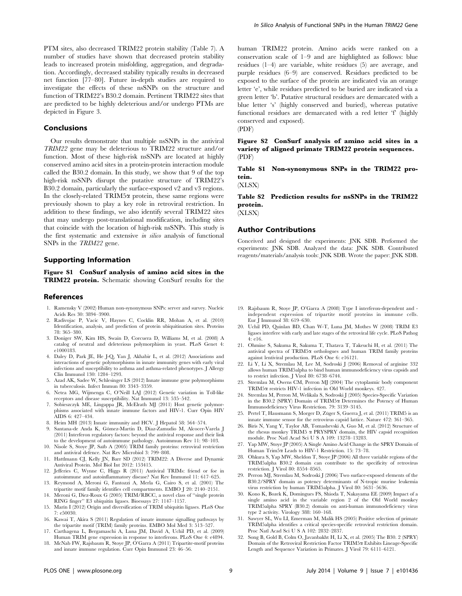PTM sites, also decreased TRIM22 protein stability (Table 7). A number of studies have shown that decreased protein stability leads to increased protein misfolding, aggregation, and degradation. Accordingly, decreased stability typically results in decreased net function [77–80]. Future in-depth studies are required to investigate the effects of these nsSNPs on the structure and function of TRIM22's B30.2 domain. Pertinent TRIM22 sites that are predicted to be highly deleterious and/or undergo PTMs are depicted in Figure 3.

#### Conclusions

Our results demonstrate that multiple nsSNPs in the antiviral TRIM22 gene may be deleterious to TRIM22 structure and/or function. Most of these high-risk nsSNPs are located at highly conserved amino acid sites in a protein-protein interaction module called the B30.2 domain. In this study, we show that 9 of the top high-risk nsSNPs disrupt the putative structure of TRIM22's B30.2 domain, particularly the surface-exposed v2 and v3 regions. In the closely-related TRIM5 $\alpha$  protein, these same regions were previously shown to play a key role in retroviral restriction. In addition to these findings, we also identify several TRIM22 sites that may undergo post-translational modification, including sites that coincide with the location of high-risk nsSNPs. This study is the first systematic and extensive in silico analysis of functional SNPs in the TRIM22 gene.

#### Supporting Information

Figure S1 ConSurf analysis of amino acid sites in the TRIM22 protein. Schematic showing ConSurf results for the

#### References

- 1. Ramensky V (2002) Human non-synonymous SNPs: server and survey. Nucleic Acids Res 30: 3894–3900.
- 2. Radivojac P, Vacic V, Haynes C, Cocklin RR, Mohan A, et al. (2010) Identification, analysis, and prediction of protein ubiquitination sites. Proteins 78: 365–380.
- 3. Doniger SW, Kim HS, Swain D, Corcuera D, Williams M, et al. (2008) A catalog of neutral and deleterious polymorphism in yeast. PLoS Genet 4: e1000183.
- 4. Daley D, Park JE, He J-Q, Yan J, Akhabir L, et al. (2012) Associations and interactions of genetic polymorphisms in innate immunity genes with early viral infections and susceptibility to asthma and asthma-related phenotypes. J Allergy Clin Immunol 130: 1284–1293.
- 5. Azad AK, Sadee W, Schlesinger LS (2012) Innate immune gene polymorphisms in tuberculosis. Infect Immun 80: 3343–3359.
- 6. Netea MG, Wijmenga C, O'Neill LAJ (2012) Genetic variation in Toll-like receptors and disease susceptibility. Nat Immunol 13: 535–542.
- 7. Sobieszczyk ME, Lingappa JR, McElrath MJ (2011) Host genetic polymorphisms associated with innate immune factors and HIV-1. Curr Opin HIV AIDS 6: 427–434.
- 8. Heim MH (2013) Innate immunity and HCV. J Hepatol 58: 564–574.
- Santana-de Anda K, Gómez-Martín D, Díaz-Zamudio M, Alcocer-Varela J (2011) Interferon regulatory factors: beyond the antiviral response and their link to the development of autoimmune pathology. Autoimmun Rev 11: 98–103.
- 10. Nisole S, Stoye JP, Saïb A (2005) TRIM family proteins: retroviral restriction and antiviral defence. Nat Rev Microbiol 3: 799–808.
- 11. Hattlmann CJ, Kelly JN, Barr SD (2012) TRIM22: A Diverse and Dynamic Antiviral Protein. Mol Biol Int 2012: 153415.
- 12. Jefferies C, Wynne C, Higgs R (2011) Antiviral TRIMs: friend or foe in autoimmune and autoinflammatory disease? Nat Rev Immunol 11: 617–625.
- 13. Reymond A, Meroni G, Fantozzi A, Merla G, Cairo S, et al. (2001) The tripartite motif family identifies cell compartments. EMBO J 20: 2140–2151. 14. Meroni G, Diez-Roux G (2005) TRIM/RBCC, a novel class of ''single protein
- RING finger'' E3 ubiquitin ligases. Bioessays 27: 1147–1157. 15. Marín I (2012) Origin and diversification of TRIM ubiquitin ligases. PLoS One
- 7: e50030. 16. Kawai T, Akira S (2011) Regulation of innate immune signalling pathways by
- the tripartite motif (TRIM) family proteins. EMBO Mol Med 3: 513–527. 17. Carthagena L, Bergamaschi A, Luna JM, David A, Uchil PD, et al. (2009)
- Human TRIM gene expression in response to interferons. PLoS One 4: e4894.
- 18. McNab FW, Rajsbaum R, Stoye JP, O'Garra A (2011) Tripartite-motif proteins and innate immune regulation. Curr Opin Immunol 23: 46–56.

human TRIM22 protein. Amino acids were ranked on a conservation scale of 1–9 and are highlighted as follows: blue residues (1–4) are variable, white residues (5) are average, and purple residues (6–9) are conserved. Residues predicted to be exposed to the surface of the protein are indicated via an orange letter 'e', while residues predicted to be buried are indicated via a green letter 'b'. Putative structural residues are demarcated with a blue letter 's' (highly conserved and buried), whereas putative functional residues are demarcated with a red letter 'f' (highly conserved and exposed).

(PDF)

Figure S2 ConSurf analysis of amino acid sites in a variety of aligned primate TRIM22 protein sequences. (PDF)

Table S1 Non-synonymous SNPs in the TRIM22 protein.

(XLSX)

Table S2 Prediction results for nsSNPs in the TRIM22 protein.

(XLSX)

#### Author Contributions

Conceived and designed the experiments: JNK SDB. Performed the experiments: JNK SDB. Analyzed the data: JNK SDB. Contributed reagents/materials/analysis tools: JNK SDB. Wrote the paper: JNK SDB.

- 19. Rajsbaum R, Stoye JP, O'Garra A (2008) Type I interferon-dependent and independent expression of tripartite motif proteins in immune cells. Eur J Immunol 38: 619–630.
- 20. Uchil PD, Quinlan BD, Chan W-T, Luna JM, Mothes W (2008) TRIM E3 ligases interfere with early and late stages of the retroviral life cycle. PLoS Pathog 4: e16.
- 21. Ohmine S, Sakuma R, Sakuma T, Thatava T, Takeuchi H, et al. (2011) The antiviral spectra of TRIM5 $\alpha$  orthologues and human TRIM family proteins against lentiviral production. PLoS One 6: e16121.
- 22. Li Y, Li X, Stremlau M, Lee M, Sodroski J (2006) Removal of arginine 332 allows human TRIM5alpha to bind human immunodeficiency virus capsids and to restrict infection. J Virol 80: 6738–6744.
- 23. Stremlau M, Owens CM, Perron MJ (2004) The cytoplasmic body component TRIM5a restricts HIV-1 infection in Old World monkeys. 427.
- 24. Stremlau M, Perron M, Welikala S, Sodroski J (2005) Species-Specific Variation in the B30.2 (SPRY) Domain of TRIM5a Determines the Potency of Human Immunodeficiency Virus Restriction. 79: 3139–3145.
- 25. Pertel T, Hausmann S, Morger D, Züger S, Guerra J, et al. (2011) TRIM5 is an innate immune sensor for the retrovirus capsid lattice. Nature 472: 361–365.
- 26. Biris N, Yang Y, Taylor AB, Tomashevski A, Guo M, et al. (2012) Structure of the rhesus monkey TRIM5 a PRYSPRY domain, the HIV capsid recognition module. Proc Natl Acad Sci U S A 109: 13278–13283.
- 27. Yap MW, Stoye JP (2005) A Single Amino Acid Change in the SPRY Domain of Human Trim5a Leads to HIV-1 Restriction. 15: 73–78.
- 28. Ohkura S, Yap MW, Sheldon T, Stoye JP (2006) All three variable regions of the TRIM5alpha B30.2 domain can contribute to the specificity of retrovirus restriction. J Virol 80: 8554–8565.
- 29. Perron MJ, Stremlau M, Sodroski J (2006) Two surface-exposed elements of the B30.2/SPRY domain as potency determinants of N-tropic murine leukemia virus restriction by human TRIM5alpha. J Virol 80: 5631–5636.
- 30. Kono K, Bozek K, Domingues FS, Shioda T, Nakayama EE (2009) Impact of a single amino acid in the variable region 2 of the Old World monkey TRIM5alpha SPRY (B30.2) domain on anti-human immunodeficiency virus type 2 activity. Virology 388: 160–168.
- 31. Sawyer SL, Wu LI, Emerman M, Malik HS (2005) Positive selection of primate TRIM5alpha identifies a critical species-specific retroviral restriction domain. Proc Natl Acad Sci U S A 102: 2832–2837.
- 32. Song B, Gold B, Colm O, Javanbakht H, Li X, et al. (2005) The B30. 2 (SPRY) Domain of the Retroviral Restriction Factor TRIM5a Exhibits Lineage-Specific Length and Sequence Variation in Primates. J Virol 79: 6111–6121.